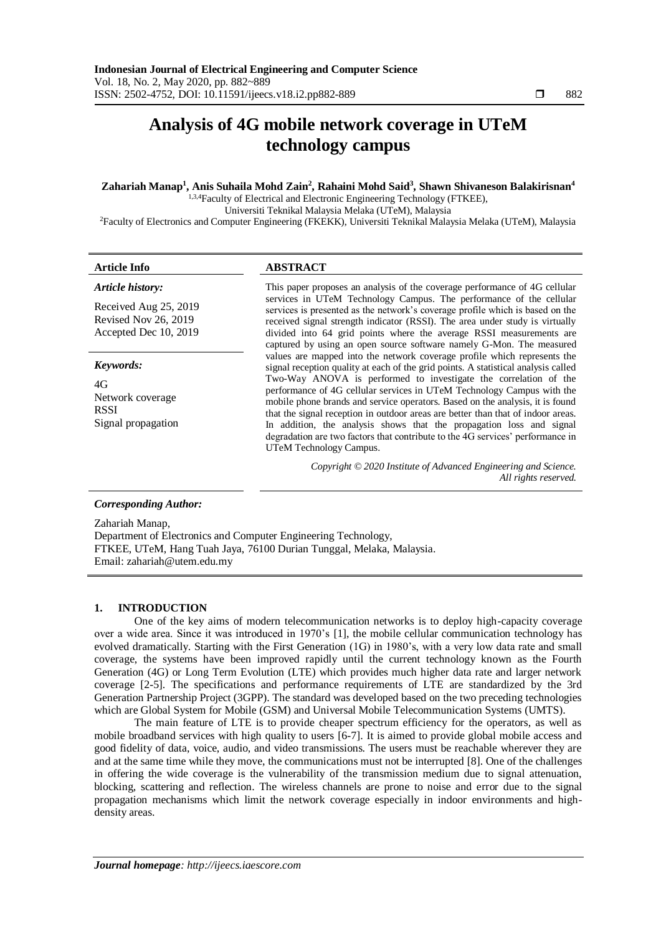# **Analysis of 4G mobile network coverage in UTeM technology campus**

# **Zahariah Manap<sup>1</sup> , Anis Suhaila Mohd Zain<sup>2</sup> , Rahaini Mohd Said<sup>3</sup> , Shawn Shivaneson Balakirisnan<sup>4</sup>**

1,3,4Faculty of Electrical and Electronic Engineering Technology (FTKEE),

Universiti Teknikal Malaysia Melaka (UTeM), Malaysia

<sup>2</sup>Faculty of Electronics and Computer Engineering (FKEKK), Universiti Teknikal Malaysia Melaka (UTeM), Malaysia

# **Article Info ABSTRACT**

*Article history:*

Received Aug 25, 2019 Revised Nov 26, 2019 Accepted Dec 10, 2019

*Keywords:*

4G Network coverage **RSSI** Signal propagation This paper proposes an analysis of the coverage performance of 4G cellular services in UTeM Technology Campus. The performance of the cellular services is presented as the network's coverage profile which is based on the received signal strength indicator (RSSI). The area under study is virtually divided into 64 grid points where the average RSSI measurements are captured by using an open source software namely G-Mon. The measured values are mapped into the network coverage profile which represents the signal reception quality at each of the grid points. A statistical analysis called Two-Way ANOVA is performed to investigate the correlation of the performance of 4G cellular services in UTeM Technology Campus with the mobile phone brands and service operators. Based on the analysis, it is found that the signal reception in outdoor areas are better than that of indoor areas. In addition, the analysis shows that the propagation loss and signal degradation are two factors that contribute to the 4G services' performance in UTeM Technology Campus.

> *Copyright © 2020 Institute of Advanced Engineering and Science. All rights reserved.*

# *Corresponding Author:*

Zahariah Manap, Department of Electronics and Computer Engineering Technology, FTKEE, UTeM, Hang Tuah Jaya, 76100 Durian Tunggal, Melaka, Malaysia. Email: zahariah@utem.edu.my

# **1. INTRODUCTION**

One of the key aims of modern telecommunication networks is to deploy high-capacity coverage over a wide area. Since it was introduced in 1970's [1], the mobile cellular communication technology has evolved dramatically. Starting with the First Generation (1G) in 1980's, with a very low data rate and small coverage, the systems have been improved rapidly until the current technology known as the Fourth Generation (4G) or Long Term Evolution (LTE) which provides much higher data rate and larger network coverage [2-5]. The specifications and performance requirements of LTE are standardized by the 3rd Generation Partnership Project (3GPP). The standard was developed based on the two preceding technologies which are Global System for Mobile (GSM) and Universal Mobile Telecommunication Systems (UMTS).

The main feature of LTE is to provide cheaper spectrum efficiency for the operators, as well as mobile broadband services with high quality to users [6-7]. It is aimed to provide global mobile access and good fidelity of data, voice, audio, and video transmissions. The users must be reachable wherever they are and at the same time while they move, the communications must not be interrupted [8]. One of the challenges in offering the wide coverage is the vulnerability of the transmission medium due to signal attenuation, blocking, scattering and reflection. The wireless channels are prone to noise and error due to the signal propagation mechanisms which limit the network coverage especially in indoor environments and highdensity areas.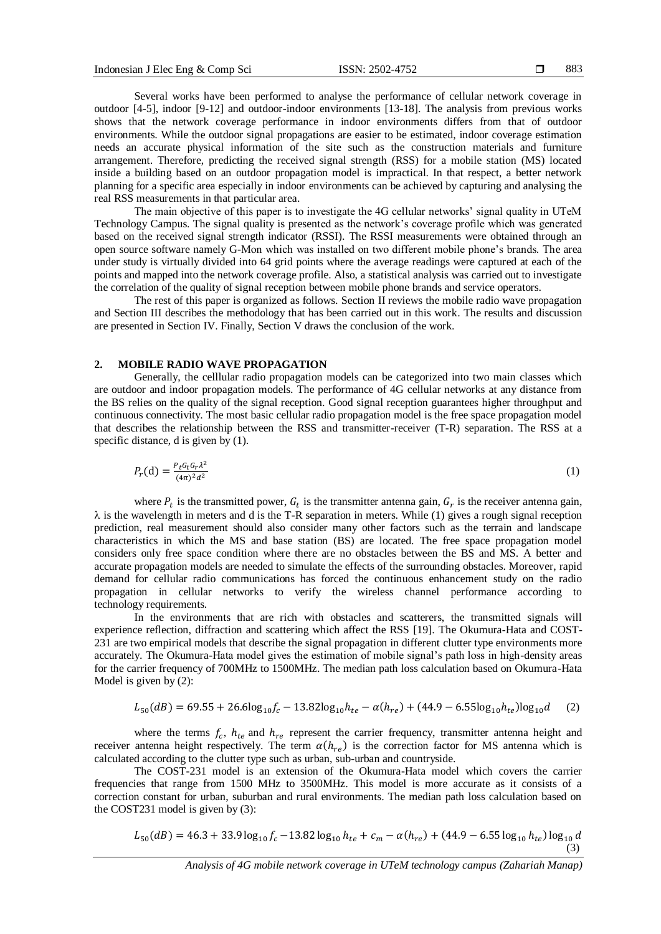Several works have been performed to analyse the performance of cellular network coverage in outdoor [4-5], indoor [9-12] and outdoor-indoor environments [13-18]. The analysis from previous works shows that the network coverage performance in indoor environments differs from that of outdoor environments. While the outdoor signal propagations are easier to be estimated, indoor coverage estimation needs an accurate physical information of the site such as the construction materials and furniture arrangement. Therefore, predicting the received signal strength (RSS) for a mobile station (MS) located inside a building based on an outdoor propagation model is impractical. In that respect, a better network planning for a specific area especially in indoor environments can be achieved by capturing and analysing the real RSS measurements in that particular area.

The main objective of this paper is to investigate the 4G cellular networks' signal quality in UTeM Technology Campus. The signal quality is presented as the network's coverage profile which was generated based on the received signal strength indicator (RSSI). The RSSI measurements were obtained through an open source software namely G-Mon which was installed on two different mobile phone's brands. The area under study is virtually divided into 64 grid points where the average readings were captured at each of the points and mapped into the network coverage profile. Also, a statistical analysis was carried out to investigate the correlation of the quality of signal reception between mobile phone brands and service operators.

The rest of this paper is organized as follows. Section II reviews the mobile radio wave propagation and Section III describes the methodology that has been carried out in this work. The results and discussion are presented in Section IV. Finally, Section V draws the conclusion of the work.

# **2. MOBILE RADIO WAVE PROPAGATION**

Generally, the celllular radio propagation models can be categorized into two main classes which are outdoor and indoor propagation models. The performance of 4G cellular networks at any distance from the BS relies on the quality of the signal reception. Good signal reception guarantees higher throughput and continuous connectivity. The most basic cellular radio propagation model is the free space propagation model that describes the relationship between the RSS and transmitter-receiver (T-R) separation. The RSS at a specific distance, d is given by  $(1)$ .

$$
P_r(d) = \frac{P_t G_t G_r \lambda^2}{(4\pi)^2 d^2} \tag{1}
$$

where  $P_t$  is the transmitted power,  $G_t$  is the transmitter antenna gain,  $G_r$  is the receiver antenna gain,  $\lambda$  is the wavelength in meters and d is the T-R separation in meters. While (1) gives a rough signal reception prediction, real measurement should also consider many other factors such as the terrain and landscape characteristics in which the MS and base station (BS) are located. The free space propagation model considers only free space condition where there are no obstacles between the BS and MS. A better and accurate propagation models are needed to simulate the effects of the surrounding obstacles. Moreover, rapid demand for cellular radio communications has forced the continuous enhancement study on the radio propagation in cellular networks to verify the wireless channel performance according to technology requirements.

In the environments that are rich with obstacles and scatterers, the transmitted signals will experience reflection, diffraction and scattering which affect the RSS [19]. The Okumura-Hata and COST-231 are two empirical models that describe the signal propagation in different clutter type environments more accurately. The Okumura-Hata model gives the estimation of mobile signal's path loss in high-density areas for the carrier frequency of 700MHz to 1500MHz. The median path loss calculation based on Okumura-Hata Model is given by (2):

$$
L_{50}(dB) = 69.55 + 26.6 \log_{10} f_c - 13.82 \log_{10} h_{te} - \alpha (h_{re}) + (44.9 - 6.55 \log_{10} h_{te}) \log_{10} d \tag{2}
$$

where the terms  $f_c$ ,  $h_{te}$  and  $h_{re}$  represent the carrier frequency, transmitter antenna height and receiver antenna height respectively. The term  $\alpha(h_{re})$  is the correction factor for MS antenna which is calculated according to the clutter type such as urban, sub-urban and countryside.

The COST-231 model is an extension of the Okumura-Hata model which covers the carrier frequencies that range from 1500 MHz to 3500MHz. This model is more accurate as it consists of a correction constant for urban, suburban and rural environments. The median path loss calculation based on the COST231 model is given by (3):

$$
L_{50}(dB) = 46.3 + 33.9 \log_{10} f_c - 13.82 \log_{10} h_{te} + c_m - \alpha(h_{re}) + (44.9 - 6.55 \log_{10} h_{te}) \log_{10} d
$$
\n(3)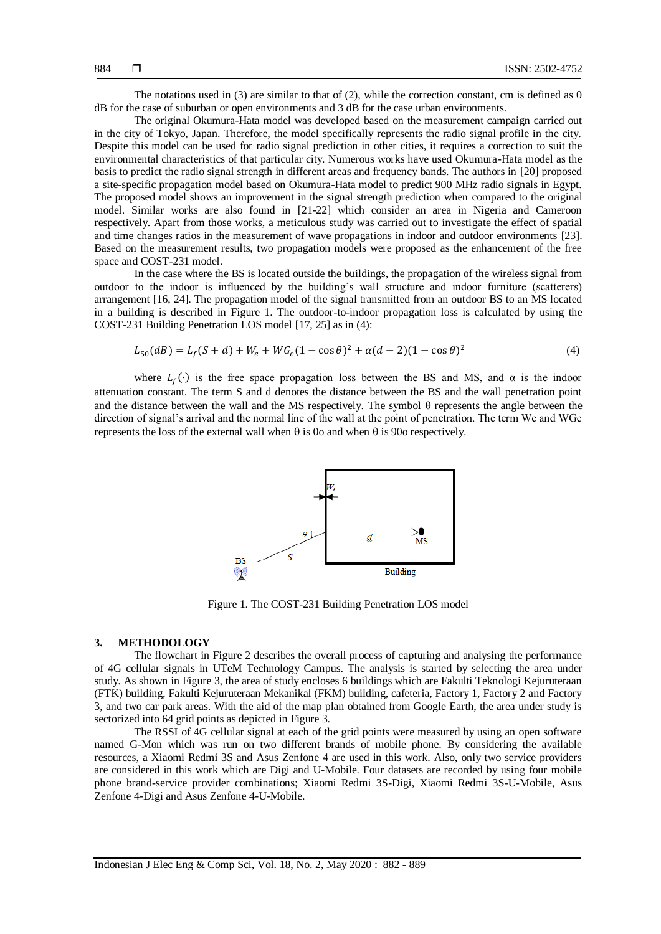The notations used in (3) are similar to that of (2), while the correction constant, cm is defined as 0 dB for the case of suburban or open environments and 3 dB for the case urban environments.

The original Okumura-Hata model was developed based on the measurement campaign carried out in the city of Tokyo, Japan. Therefore, the model specifically represents the radio signal profile in the city. Despite this model can be used for radio signal prediction in other cities, it requires a correction to suit the environmental characteristics of that particular city. Numerous works have used Okumura-Hata model as the basis to predict the radio signal strength in different areas and frequency bands. The authors in [20] proposed a site-specific propagation model based on Okumura-Hata model to predict 900 MHz radio signals in Egypt. The proposed model shows an improvement in the signal strength prediction when compared to the original model. Similar works are also found in [21-22] which consider an area in Nigeria and Cameroon respectively. Apart from those works, a meticulous study was carried out to investigate the effect of spatial and time changes ratios in the measurement of wave propagations in indoor and outdoor environments [23]. Based on the measurement results, two propagation models were proposed as the enhancement of the free space and COST-231 model.

In the case where the BS is located outside the buildings, the propagation of the wireless signal from outdoor to the indoor is influenced by the building's wall structure and indoor furniture (scatterers) arrangement [16, 24]. The propagation model of the signal transmitted from an outdoor BS to an MS located in a building is described in Figure 1. The outdoor-to-indoor propagation loss is calculated by using the COST-231 Building Penetration LOS model [17, 25] as in (4):

$$
L_{50}(dB) = L_f(S + d) + W_e + WG_e(1 - \cos\theta)^2 + \alpha(d - 2)(1 - \cos\theta)^2
$$
\n(4)

where  $L_f(\cdot)$  is the free space propagation loss between the BS and MS, and  $\alpha$  is the indoor attenuation constant. The term S and d denotes the distance between the BS and the wall penetration point and the distance between the wall and the MS respectively. The symbol  $\theta$  represents the angle between the direction of signal's arrival and the normal line of the wall at the point of penetration. The term We and WGe represents the loss of the external wall when  $\theta$  is 0o and when  $\theta$  is 90o respectively.



Figure 1. The COST-231 Building Penetration LOS model

# **3. METHODOLOGY**

The flowchart in Figure 2 describes the overall process of capturing and analysing the performance of 4G cellular signals in UTeM Technology Campus. The analysis is started by selecting the area under study. As shown in Figure 3, the area of study encloses 6 buildings which are Fakulti Teknologi Kejuruteraan (FTK) building, Fakulti Kejuruteraan Mekanikal (FKM) building, cafeteria, Factory 1, Factory 2 and Factory 3, and two car park areas. With the aid of the map plan obtained from Google Earth, the area under study is sectorized into 64 grid points as depicted in Figure 3.

The RSSI of 4G cellular signal at each of the grid points were measured by using an open software named G-Mon which was run on two different brands of mobile phone. By considering the available resources, a Xiaomi Redmi 3S and Asus Zenfone 4 are used in this work. Also, only two service providers are considered in this work which are Digi and U-Mobile. Four datasets are recorded by using four mobile phone brand-service provider combinations; Xiaomi Redmi 3S-Digi, Xiaomi Redmi 3S-U-Mobile, Asus Zenfone 4-Digi and Asus Zenfone 4-U-Mobile.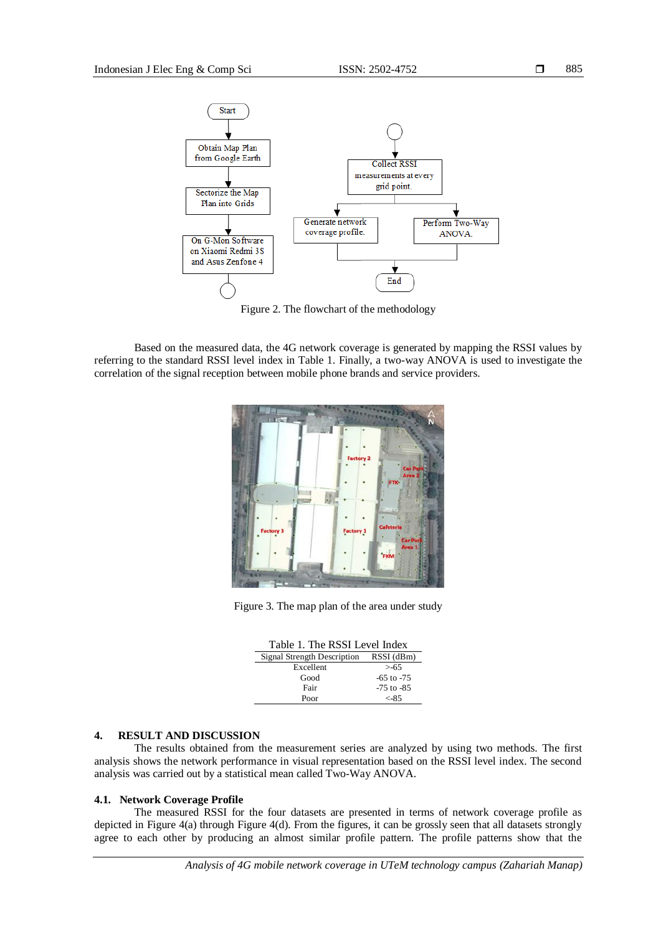

Figure 2. The flowchart of the methodology

Based on the measured data, the 4G network coverage is generated by mapping the RSSI values by referring to the standard RSSI level index in Table 1. Finally, a two-way ANOVA is used to investigate the correlation of the signal reception between mobile phone brands and service providers.



Figure 3. The map plan of the area under study

| Table 1. The RSSI Level Index |                |  |  |  |
|-------------------------------|----------------|--|--|--|
| Signal Strength Description   | RSSI (dBm)     |  |  |  |
| Excellent                     | $> -65$        |  |  |  |
| Good                          | $-65$ to $-75$ |  |  |  |
| Fair                          | $-75$ to $-85$ |  |  |  |
| Poor                          | $< -85$        |  |  |  |

# **4. RESULT AND DISCUSSION**

The results obtained from the measurement series are analyzed by using two methods. The first analysis shows the network performance in visual representation based on the RSSI level index. The second analysis was carried out by a statistical mean called Two-Way ANOVA.

# **4.1. Network Coverage Profile**

The measured RSSI for the four datasets are presented in terms of network coverage profile as depicted in Figure 4(a) through Figure 4(d). From the figures, it can be grossly seen that all datasets strongly agree to each other by producing an almost similar profile pattern. The profile patterns show that the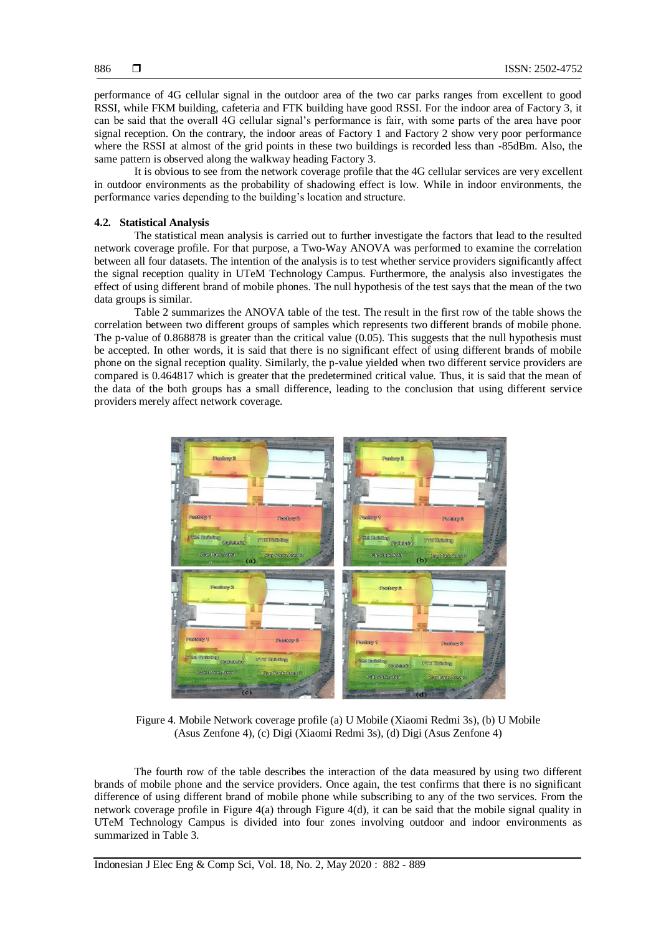performance of 4G cellular signal in the outdoor area of the two car parks ranges from excellent to good RSSI, while FKM building, cafeteria and FTK building have good RSSI. For the indoor area of Factory 3, it can be said that the overall 4G cellular signal's performance is fair, with some parts of the area have poor signal reception. On the contrary, the indoor areas of Factory 1 and Factory 2 show very poor performance where the RSSI at almost of the grid points in these two buildings is recorded less than -85dBm. Also, the same pattern is observed along the walkway heading Factory 3.

It is obvious to see from the network coverage profile that the 4G cellular services are very excellent in outdoor environments as the probability of shadowing effect is low. While in indoor environments, the performance varies depending to the building's location and structure.

# **4.2. Statistical Analysis**

The statistical mean analysis is carried out to further investigate the factors that lead to the resulted network coverage profile. For that purpose, a Two-Way ANOVA was performed to examine the correlation between all four datasets. The intention of the analysis is to test whether service providers significantly affect the signal reception quality in UTeM Technology Campus. Furthermore, the analysis also investigates the effect of using different brand of mobile phones. The null hypothesis of the test says that the mean of the two data groups is similar.

Table 2 summarizes the ANOVA table of the test. The result in the first row of the table shows the correlation between two different groups of samples which represents two different brands of mobile phone. The p-value of 0.868878 is greater than the critical value (0.05). This suggests that the null hypothesis must be accepted. In other words, it is said that there is no significant effect of using different brands of mobile phone on the signal reception quality. Similarly, the p-value yielded when two different service providers are compared is 0.464817 which is greater that the predetermined critical value. Thus, it is said that the mean of the data of the both groups has a small difference, leading to the conclusion that using different service providers merely affect network coverage.



Figure 4. Mobile Network coverage profile (a) U Mobile (Xiaomi Redmi 3s), (b) U Mobile (Asus Zenfone 4), (c) Digi (Xiaomi Redmi 3s), (d) Digi (Asus Zenfone 4)

The fourth row of the table describes the interaction of the data measured by using two different brands of mobile phone and the service providers. Once again, the test confirms that there is no significant difference of using different brand of mobile phone while subscribing to any of the two services. From the network coverage profile in Figure 4(a) through Figure 4(d), it can be said that the mobile signal quality in UTeM Technology Campus is divided into four zones involving outdoor and indoor environments as summarized in Table 3.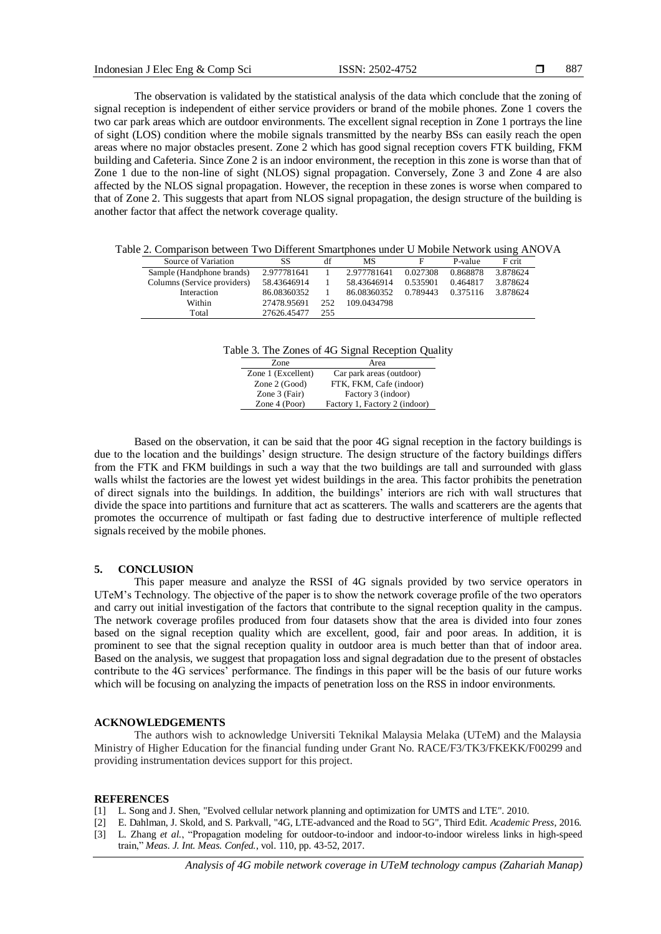The observation is validated by the statistical analysis of the data which conclude that the zoning of signal reception is independent of either service providers or brand of the mobile phones. Zone 1 covers the two car park areas which are outdoor environments. The excellent signal reception in Zone 1 portrays the line of sight (LOS) condition where the mobile signals transmitted by the nearby BSs can easily reach the open areas where no major obstacles present. Zone 2 which has good signal reception covers FTK building, FKM building and Cafeteria. Since Zone 2 is an indoor environment, the reception in this zone is worse than that of Zone 1 due to the non-line of sight (NLOS) signal propagation. Conversely, Zone 3 and Zone 4 are also affected by the NLOS signal propagation. However, the reception in these zones is worse when compared to that of Zone 2. This suggests that apart from NLOS signal propagation, the design structure of the building is another factor that affect the network coverage quality.

Table 2. Comparison between Two Different Smartphones under U Mobile Network using ANOVA

| Source of Variation         | SS          | df   | <b>MS</b>   | F        | P-value  | F crit   |
|-----------------------------|-------------|------|-------------|----------|----------|----------|
| Sample (Handphone brands)   | 2.977781641 |      | 2.977781641 | 0.027308 | 0.868878 | 3.878624 |
| Columns (Service providers) | 58.43646914 |      | 58.43646914 | 0.535901 | 0.464817 | 3.878624 |
| Interaction                 | 86.08360352 |      | 86.08360352 | 0.789443 | 0.375116 | 3.878624 |
| Within                      | 27478.95691 | 252. | 109.0434798 |          |          |          |
| Total                       | 27626.45477 | 255  |             |          |          |          |

Table 3. The Zones of 4G Signal Reception Quality

| Zone               | Area                          |
|--------------------|-------------------------------|
| Zone 1 (Excellent) | Car park areas (outdoor)      |
| Zone $2$ (Good)    | FTK, FKM, Cafe (indoor)       |
| Zone 3 (Fair)      | Factory 3 (indoor)            |
| Zone $4 (Poor)$    | Factory 1, Factory 2 (indoor) |

Based on the observation, it can be said that the poor 4G signal reception in the factory buildings is due to the location and the buildings' design structure. The design structure of the factory buildings differs from the FTK and FKM buildings in such a way that the two buildings are tall and surrounded with glass walls whilst the factories are the lowest yet widest buildings in the area. This factor prohibits the penetration of direct signals into the buildings. In addition, the buildings' interiors are rich with wall structures that divide the space into partitions and furniture that act as scatterers. The walls and scatterers are the agents that promotes the occurrence of multipath or fast fading due to destructive interference of multiple reflected signals received by the mobile phones.

# **5. CONCLUSION**

This paper measure and analyze the RSSI of 4G signals provided by two service operators in UTeM's Technology. The objective of the paper is to show the network coverage profile of the two operators and carry out initial investigation of the factors that contribute to the signal reception quality in the campus. The network coverage profiles produced from four datasets show that the area is divided into four zones based on the signal reception quality which are excellent, good, fair and poor areas. In addition, it is prominent to see that the signal reception quality in outdoor area is much better than that of indoor area. Based on the analysis, we suggest that propagation loss and signal degradation due to the present of obstacles contribute to the 4G services' performance. The findings in this paper will be the basis of our future works which will be focusing on analyzing the impacts of penetration loss on the RSS in indoor environments.

#### **ACKNOWLEDGEMENTS**

The authors wish to acknowledge Universiti Teknikal Malaysia Melaka (UTeM) and the Malaysia Ministry of Higher Education for the financial funding under Grant No. RACE/F3/TK3/FKEKK/F00299 and providing instrumentation devices support for this project.

# **REFERENCES**

- [1] L. Song and J. Shen, "Evolved cellular network planning and optimization for UMTS and LTE". 2010.
- [2] E. Dahlman, J. Skold, and S. Parkvall, "4G, LTE-advanced and the Road to 5G", Third Edit. *Academic Press*, 2016.
- [3] L. Zhang *et al.*, "Propagation modeling for outdoor-to-indoor and indoor-to-indoor wireless links in high-speed train," *Meas. J. Int. Meas. Confed.*, vol. 110, pp. 43-52, 2017.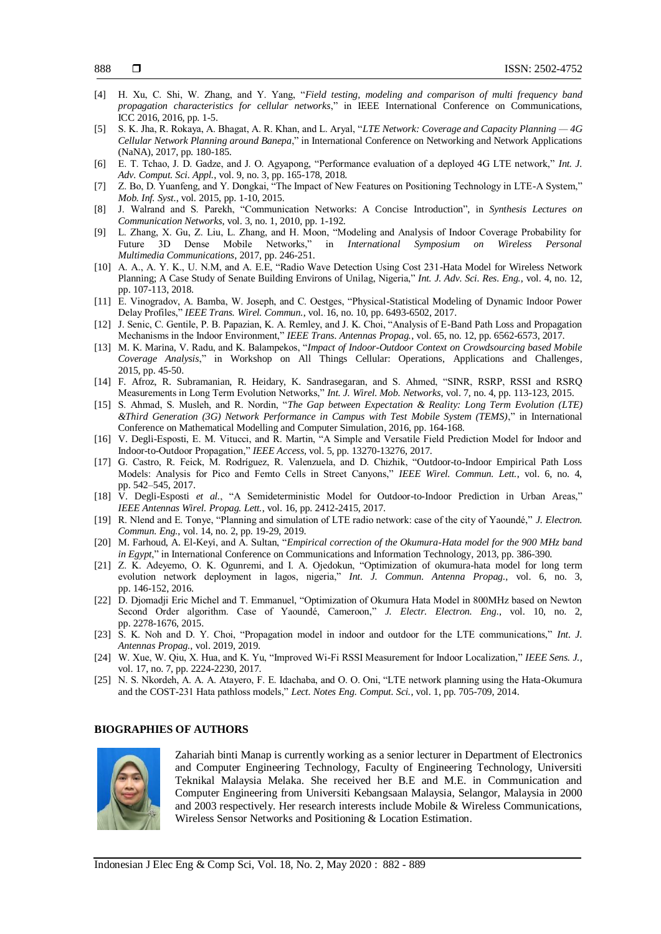- [4] H. Xu, C. Shi, W. Zhang, and Y. Yang, "*Field testing, modeling and comparison of multi frequency band propagation characteristics for cellular networks*," in IEEE International Conference on Communications, ICC 2016, 2016, pp. 1-5.
- [5] S. K. Jha, R. Rokaya, A. Bhagat, A. R. Khan, and L. Aryal, "*LTE Network: Coverage and Capacity Planning — 4G Cellular Network Planning around Banepa*," in International Conference on Networking and Network Applications (NaNA), 2017, pp. 180-185.
- [6] E. T. Tchao, J. D. Gadze, and J. O. Agyapong, "Performance evaluation of a deployed 4G LTE network," *Int. J. Adv. Comput. Sci. Appl.*, vol. 9, no. 3, pp. 165-178, 2018.
- [7] Z. Bo, D. Yuanfeng, and Y. Dongkai, "The Impact of New Features on Positioning Technology in LTE-A System," *Mob. Inf. Syst.*, vol. 2015, pp. 1-10, 2015.
- [8] J. Walrand and S. Parekh, "Communication Networks: A Concise Introduction", in *Synthesis Lectures on Communication Networks*, vol. 3, no. 1, 2010, pp. 1-192.
- [9] L. Zhang, X. Gu, Z. Liu, L. Zhang, and H. Moon, "Modeling and Analysis of Indoor Coverage Probability for Future 3D Dense Mobile Networks," in *International Symposium on Wireless Personal Multimedia Communications*, 2017, pp. 246-251.
- [10] A. A., A. Y. K., U. N.M, and A. E.E, "Radio Wave Detection Using Cost 231-Hata Model for Wireless Network Planning; A Case Study of Senate Building Environs of Unilag, Nigeria," *Int. J. Adv. Sci. Res. Eng.*, vol. 4, no. 12, pp. 107-113, 2018.
- [11] E. Vinogradov, A. Bamba, W. Joseph, and C. Oestges, "Physical-Statistical Modeling of Dynamic Indoor Power Delay Profiles," *IEEE Trans. Wirel. Commun.*, vol. 16, no. 10, pp. 6493-6502, 2017.
- [12] J. Senic, C. Gentile, P. B. Papazian, K. A. Remley, and J. K. Choi, "Analysis of E-Band Path Loss and Propagation Mechanisms in the Indoor Environment," *IEEE Trans. Antennas Propag.*, vol. 65, no. 12, pp. 6562-6573, 2017.
- [13] M. K. Marina, V. Radu, and K. Balampekos, "*Impact of Indoor-Outdoor Context on Crowdsourcing based Mobile Coverage Analysis*," in Workshop on All Things Cellular: Operations, Applications and Challenges, 2015, pp. 45-50.
- [14] F. Afroz, R. Subramanian, R. Heidary, K. Sandrasegaran, and S. Ahmed, "SINR, RSRP, RSSI and RSRQ Measurements in Long Term Evolution Networks," *Int. J. Wirel. Mob. Networks*, vol. 7, no. 4, pp. 113-123, 2015.
- [15] S. Ahmad, S. Musleh, and R. Nordin, "*The Gap between Expectation & Reality: Long Term Evolution (LTE) &Third Generation (3G) Network Performance in Campus with Test Mobile System (TEMS)*," in International Conference on Mathematical Modelling and Computer Simulation, 2016, pp. 164-168.
- [16] V. Degli-Esposti, E. M. Vitucci, and R. Martin, "A Simple and Versatile Field Prediction Model for Indoor and Indoor-to-Outdoor Propagation," *IEEE Access*, vol. 5, pp. 13270-13276, 2017.
- [17] G. Castro, R. Feick, M. Rodríguez, R. Valenzuela, and D. Chizhik, "Outdoor-to-Indoor Empirical Path Loss Models: Analysis for Pico and Femto Cells in Street Canyons," *IEEE Wirel. Commun. Lett.*, vol. 6, no. 4, pp. 542–545, 2017.
- [18] V. Degli-Esposti *et al.*, "A Semideterministic Model for Outdoor-to-Indoor Prediction in Urban Areas," *IEEE Antennas Wirel. Propag. Lett.*, vol. 16, pp. 2412-2415, 2017.
- [19] R. Nlend and E. Tonye, "Planning and simulation of LTE radio network: case of the city of Yaoundé," *J. Electron. Commun. Eng.*, vol. 14, no. 2, pp. 19-29, 2019.
- [20] M. Farhoud, A. El-Keyi, and A. Sultan, "*Empirical correction of the Okumura-Hata model for the 900 MHz band in Egypt*," in International Conference on Communications and Information Technology, 2013, pp. 386-390.
- [21] Z. K. Adeyemo, O. K. Ogunremi, and I. A. Ojedokun, "Optimization of okumura-hata model for long term evolution network deployment in lagos, nigeria," *Int. J. Commun. Antenna Propag.*, vol. 6, no. 3, pp. 146-152, 2016.
- [22] D. Djomadji Eric Michel and T. Emmanuel, "Optimization of Okumura Hata Model in 800MHz based on Newton Second Order algorithm. Case of Yaoundé, Cameroon," *J. Electr. Electron. Eng.*, vol. 10, no. 2, pp. 2278-1676, 2015.
- [23] S. K. Noh and D. Y. Choi, "Propagation model in indoor and outdoor for the LTE communications," *Int. J. Antennas Propag.*, vol. 2019, 2019.
- [24] W. Xue, W. Qiu, X. Hua, and K. Yu, "Improved Wi-Fi RSSI Measurement for Indoor Localization," *IEEE Sens. J.*, vol. 17, no. 7, pp. 2224-2230, 2017.
- [25] N. S. Nkordeh, A. A. A. Atayero, F. E. Idachaba, and O. O. Oni, "LTE network planning using the Hata-Okumura and the COST-231 Hata pathloss models," *Lect. Notes Eng. Comput. Sci.*, vol. 1, pp. 705-709, 2014.

# **BIOGRAPHIES OF AUTHORS**



Zahariah binti Manap is currently working as a senior lecturer in Department of Electronics and Computer Engineering Technology, Faculty of Engineering Technology, Universiti Teknikal Malaysia Melaka. She received her B.E and M.E. in Communication and Computer Engineering from Universiti Kebangsaan Malaysia, Selangor, Malaysia in 2000 and 2003 respectively. Her research interests include Mobile & Wireless Communications, Wireless Sensor Networks and Positioning & Location Estimation.